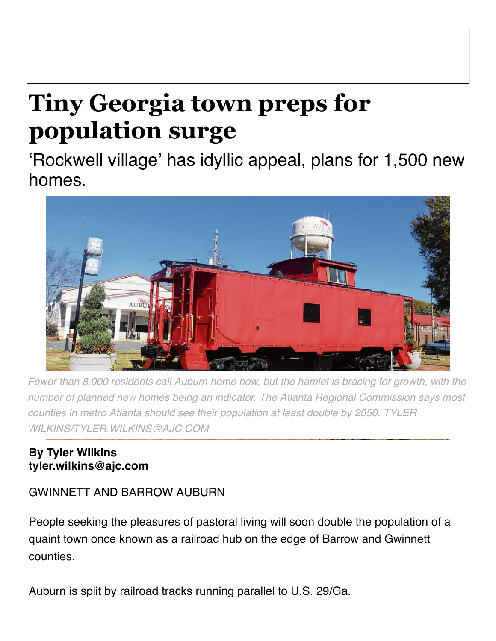## **Tiny Georgia town preps for population surge**

'Rockwell village' has idyllic appeal, plans for 1,500 new homes.



*Fewer than 8,000 residents call Auburn home now, but the hamlet is bracing for growth, with the number of planned new homes being an indicator. The Atlanta Regional Commission says most counties in metro Atlanta should see their population at least double by 2050. TYLER WILKINS/TYLER.WILKINS@AJC.COM*

## **By Tyler Wilkins tyler.wilkins@ajc.com**

## GWINNETT AND BARROW AUBURN

People seeking the pleasures of pastoral living will soon double the population of a quaint town once known as a railroad hub on the edge of Barrow and Gwinnett counties.

Auburn is split by railroad tracks running parallel to U.S. 29/Ga.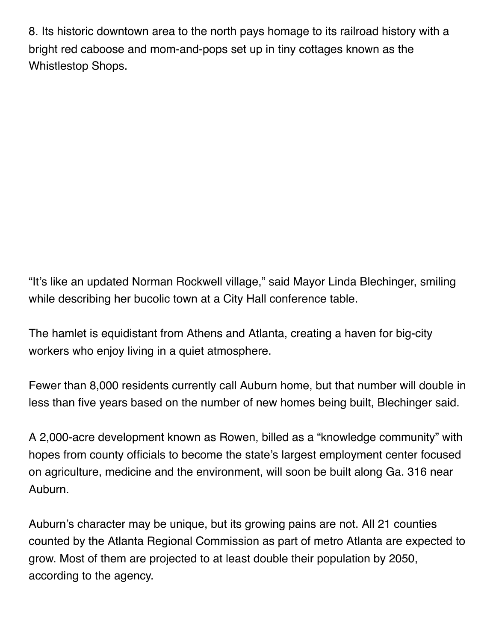8. Its historic downtown area to the north pays homage to its railroad history with a bright red caboose and mom-and-pops set up in tiny cottages known as the Whistlestop Shops.

"It's like an updated Norman Rockwell village," said Mayor Linda Blechinger, smiling while describing her bucolic town at a City Hall conference table.

The hamlet is equidistant from Athens and Atlanta, creating a haven for big-city workers who enjoy living in a quiet atmosphere.

Fewer than 8,000 residents currently call Auburn home, but that number will double in less than five years based on the number of new homes being built, Blechinger said.

A 2,000-acre development known as Rowen, billed as a "knowledge community" with hopes from county officials to become the state's largest employment center focused on agriculture, medicine and the environment, will soon be built along Ga. 316 near Auburn.

Auburn's character may be unique, but its growing pains are not. All 21 counties counted by the Atlanta Regional Commission as part of metro Atlanta are expected to grow. Most of them are projected to at least double their population by 2050, according to the agency.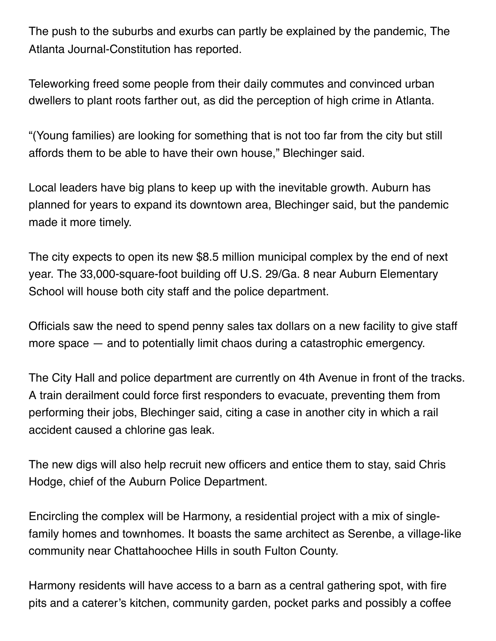The push to the suburbs and exurbs can partly be explained by the pandemic, The Atlanta Journal-Constitution has reported.

Teleworking freed some people from their daily commutes and convinced urban dwellers to plant roots farther out, as did the perception of high crime in Atlanta.

"(Young families) are looking for something that is not too far from the city but still affords them to be able to have their own house," Blechinger said.

Local leaders have big plans to keep up with the inevitable growth. Auburn has planned for years to expand its downtown area, Blechinger said, but the pandemic made it more timely.

The city expects to open its new \$8.5 million municipal complex by the end of next year. The 33,000-square-foot building off U.S. 29/Ga. 8 near Auburn Elementary School will house both city staff and the police department.

Officials saw the need to spend penny sales tax dollars on a new facility to give staff more space — and to potentially limit chaos during a catastrophic emergency.

The City Hall and police department are currently on 4th Avenue in front of the tracks. A train derailment could force first responders to evacuate, preventing them from performing their jobs, Blechinger said, citing a case in another city in which a rail accident caused a chlorine gas leak.

The new digs will also help recruit new officers and entice them to stay, said Chris Hodge, chief of the Auburn Police Department.

Encircling the complex will be Harmony, a residential project with a mix of singlefamily homes and townhomes. It boasts the same architect as Serenbe, a village-like community near Chattahoochee Hills in south Fulton County.

Harmony residents will have access to a barn as a central gathering spot, with fire pits and a caterer's kitchen, community garden, pocket parks and possibly a coffee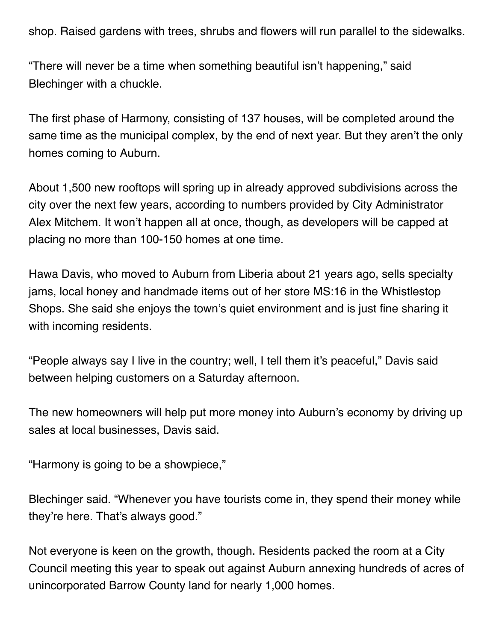shop. Raised gardens with trees, shrubs and flowers will run parallel to the sidewalks.

"There will never be a time when something beautiful isn't happening," said Blechinger with a chuckle.

The first phase of Harmony, consisting of 137 houses, will be completed around the same time as the municipal complex, by the end of next year. But they aren't the only homes coming to Auburn.

About 1,500 new rooftops will spring up in already approved subdivisions across the city over the next few years, according to numbers provided by City Administrator Alex Mitchem. It won't happen all at once, though, as developers will be capped at placing no more than 100-150 homes at one time.

Hawa Davis, who moved to Auburn from Liberia about 21 years ago, sells specialty jams, local honey and handmade items out of her store MS:16 in the Whistlestop Shops. She said she enjoys the town's quiet environment and is just fine sharing it with incoming residents.

"People always say I live in the country; well, I tell them it's peaceful," Davis said between helping customers on a Saturday afternoon.

The new homeowners will help put more money into Auburn's economy by driving up sales at local businesses, Davis said.

"Harmony is going to be a showpiece,"

Blechinger said. "Whenever you have tourists come in, they spend their money while they're here. That's always good."

Not everyone is keen on the growth, though. Residents packed the room at a City Council meeting this year to speak out against Auburn annexing hundreds of acres of unincorporated Barrow County land for nearly 1,000 homes.